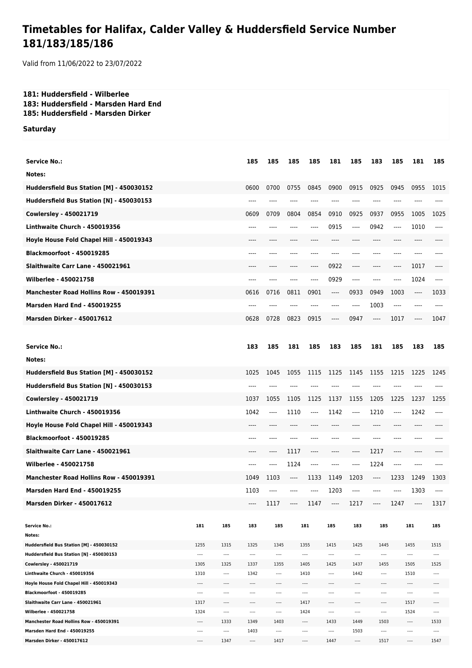## **Timetables for Halifax, Calder Valley & Huddersfield Service Number 181/183/185/186**

Valid from 11/06/2022 to 23/07/2022

## **181: Huddersfield - Wilberlee 183: Huddersfield - Marsden Hard End 185: Huddersfield - Marsden Dirker**

**Saturday**

| <b>Service No.:</b>                                            |              |              | 185          | 185          | 185   | 185                     | 181          | 185                  | 183          | 185   | 181          | 185      |
|----------------------------------------------------------------|--------------|--------------|--------------|--------------|-------|-------------------------|--------------|----------------------|--------------|-------|--------------|----------|
| Notes:                                                         |              |              |              |              |       |                         |              |                      |              |       |              |          |
| Huddersfield Bus Station [M] - 450030152                       |              |              | 0600         | 0700         | 0755  | 0845                    | 0900         | 0915                 | 0925         | 0945  | 0955         | 1015     |
| Huddersfield Bus Station [N] - 450030153                       |              |              | ----         | ----         | ----  |                         |              |                      | ----         |       |              |          |
| <b>Cowlersley - 450021719</b>                                  |              |              | 0609         | 0709         | 0804  | 0854                    | 0910         | 0925                 | 0937         | 0955  | 1005         | 1025     |
| Linthwaite Church - 450019356                                  |              |              | ----         | ----         | ----  | ----                    | 0915         | $---$                | 0942         | ----  | 1010         | $---$    |
| Hoyle House Fold Chapel Hill - 450019343                       |              |              | ----         | ----         | ----  | ----                    | ----         | ----                 | ----         | ----  | $---$        |          |
| Blackmoorfoot - 450019285                                      |              |              | $---$        | ----         |       | ----                    |              | ----                 | ----         | ----  | ----         |          |
| Slaithwaite Carr Lane - 450021961                              |              |              | $---$        | ----         | ----  | ----                    | 0922         | $---$                | $---$        | ----  | 1017         | $---$    |
| <b>Wilberlee - 450021758</b>                                   |              |              | $---$        | ----         | ----  | $---$                   | 0929         | $---$                | ----         | ----  | 1024         | $---$    |
| Manchester Road Hollins Row - 450019391                        |              |              | 0616         | 0716         | 0811  | 0901                    | $-----$      | 0933                 | 0949         | 1003  | $\cdots$     | 1033     |
|                                                                |              |              |              |              |       |                         |              |                      |              |       |              |          |
| <b>Marsden Hard End - 450019255</b>                            |              |              | $---$        | ----         | $---$ | ----                    | $---$        | $---$                | 1003         | $---$ | $---$        | ----     |
| <b>Marsden Dirker - 450017612</b>                              |              |              | 0628         | 0728         | 0823  | 0915                    | $---$        | 0947                 | $---$        | 1017  | $---$        | 1047     |
|                                                                |              |              |              |              |       |                         |              |                      |              |       |              |          |
| <b>Service No.:</b>                                            |              |              | 183          | 185          | 181   | 185                     | 183          | 185                  | 181          | 185   | 183          | 185      |
| Notes:                                                         |              |              |              |              |       |                         |              |                      |              |       |              |          |
| Huddersfield Bus Station [M] - 450030152                       |              |              | 1025         | 1045         | 1055  | 1115                    | 1125         | 1145                 | 1155         | 1215  | 1225         | 1245     |
| Huddersfield Bus Station [N] - 450030153                       |              |              | ----         | ----         |       | ----                    |              |                      |              | ----  | ----         |          |
| Cowlersley - 450021719                                         |              |              | 1037         | 1055         | 1105  | 1125                    | 1137         | 1155                 | 1205         | 1225  | 1237         | 1255     |
| Linthwaite Church - 450019356                                  |              |              | 1042         | ----         | 1110  | ----                    | 1142         | $-----$              | 1210         | ----  | 1242         |          |
| Hoyle House Fold Chapel Hill - 450019343                       |              |              | ----         |              | ----  |                         |              |                      | ----         |       |              |          |
| <b>Blackmoorfoot - 450019285</b>                               |              |              | ----         | ----         | ----  |                         |              | ----                 | ----         | ----  |              |          |
| Slaithwaite Carr Lane - 450021961                              |              |              | ----         | ----         | 1117  | ----                    | ----         | ----                 | 1217         | ----  | ----         |          |
| Wilberlee - 450021758                                          |              |              | ----         | ----         | 1124  | ----                    | ----         | ----                 | 1224         | ----  | ----         |          |
| <b>Manchester Road Hollins Row - 450019391</b>                 |              |              | 1049         | 1103         | ----  | 1133                    | 1149         | 1203                 | $-----$      | 1233  | 1249         | 1303     |
| <b>Marsden Hard End - 450019255</b>                            |              |              | 1103         | ----         | ----  | ----                    | 1203         | ----                 | ----         | ----  | 1303         | ----     |
| <b>Marsden Dirker - 450017612</b>                              |              |              |              |              |       |                         |              |                      |              |       |              |          |
|                                                                |              |              |              | 1117         | $---$ | 1147                    | ______       | 1217                 | ----         | 1247  | $---$        | 1317     |
| <b>Service No.:</b>                                            | 181          | 185          | 183          | 185          |       | 181                     | 185          | 183                  | 185          |       | 181          | 185      |
| Notes:                                                         |              |              |              |              |       |                         |              |                      |              |       |              |          |
| Huddersfield Bus Station [M] - 450030152                       | 1255         | 1315         | 1325         | 1345         |       | 1355                    | 1415         | 1425                 | 1445         |       | 1455         | 1515     |
| Huddersfield Bus Station [N] - 450030153                       | ----         | $---$        | ----         | $\cdots$     |       | $\cdots$                | ----         | $\cdots$             | $\cdots$     |       | $\cdots$     | $\cdots$ |
| Cowlersley - 450021719                                         | 1305         | 1325         | 1337         | 1355         |       | 1405                    | 1425         | 1437                 | 1455         |       | 1505         | 1525     |
| Linthwaite Church - 450019356                                  | 1310         | $\cdots$     | 1342         | $\cdots$     |       | 1410                    | ----         | 1442                 | ----         |       | 1510         |          |
| Hoyle House Fold Chapel Hill - 450019343                       |              | ----         | ----         | ----         |       | $\cdots$                | ----         | $\cdots$             | ----         |       | $\cdots$     | ----     |
| Blackmoorfoot - 450019285<br>Slaithwaite Carr Lane - 450021961 | ----<br>1317 | ----         | ----<br>---- | ----         |       | $\cdots$<br>1417        |              | $\cdots$<br>$\cdots$ | ----         |       | ----<br>1517 | <br>---- |
| Wilberlee - 450021758                                          | 1324         | <br>$\cdots$ | ----         | ----<br>---- |       | 1424                    | ----<br>---- | $\cdots$             | ----<br>---- |       | 1524         |          |
| Manchester Road Hollins Row - 450019391                        |              | 1333         | 1349         | 1403         |       | $\hspace{0.05cm}\ldots$ | 1433         | 1449                 | 1503         |       | $\cdots$     | 1533     |
| <b>Marsden Hard End - 450019255</b>                            | ----         | ----         | 1403         | ----         |       | ----                    | ----         | 1503                 | ----         |       | $\cdots$     | ----     |
| <b>Marsden Dirker - 450017612</b>                              | ----         | 1347         | ----         | 1417         |       | $\cdots$                | 1447         | $\cdots$             | 1517         |       | ----         | 1547     |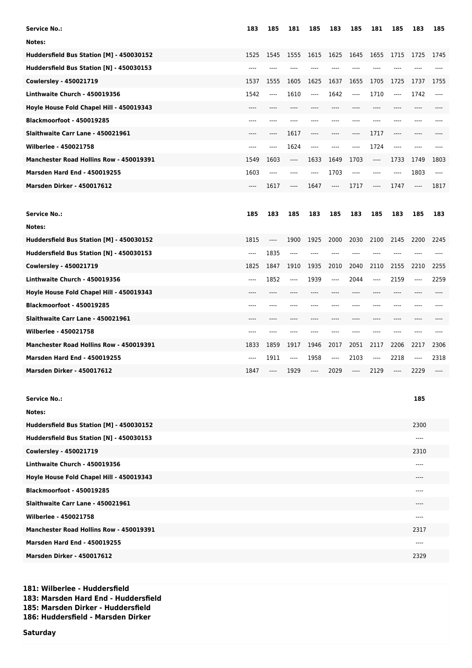| Service No.:                             | 183      | 185   | 181                           | 185  | 183     | 185      | 181                           | 185  | 183      | 185   |
|------------------------------------------|----------|-------|-------------------------------|------|---------|----------|-------------------------------|------|----------|-------|
| Notes:                                   |          |       |                               |      |         |          |                               |      |          |       |
| Huddersfield Bus Station [M] - 450030152 | 1525     | 1545  | 1555                          | 1615 | 1625    | 1645     | 1655                          | 1715 | 1725     | 1745  |
| Huddersfield Bus Station [N] - 450030153 | $---$    |       |                               |      |         |          |                               |      |          |       |
| Cowlersley - 450021719                   | 1537     | 1555  | 1605                          | 1625 | 1637    | 1655     | 1705                          | 1725 | 1737     | 1755  |
| Linthwaite Church - 450019356            | 1542     | ----  | 1610                          | ---- | 1642    | ----     | 1710                          | ---- | 1742     | $---$ |
| Hoyle House Fold Chapel Hill - 450019343 | $---$    | ----  | ----                          | ---- | ----    | $---$    | ----                          | ---- | $---$    |       |
| Blackmoorfoot - 450019285                | $---$    | ----  | ----                          | ---- |         | $---$    | ----                          | ---- | ----     |       |
| Slaithwaite Carr Lane - 450021961        |          | ----  | 1617                          | ---- |         | ----     | 1717                          | ---- |          |       |
| Wilberlee - 450021758                    | $---$    | ----  | 1624                          | ---- | ----    | $---$    | 1724                          | ---- | $---$    |       |
| Manchester Road Hollins Row - 450019391  | 1549     | 1603  | $\hspace{1.5cm} \textbf{---}$ | 1633 | 1649    | 1703     | $\hspace{1.5cm} \textbf{---}$ | 1733 | 1749     | 1803  |
| <b>Marsden Hard End - 450019255</b>      | 1603     | $---$ | ----                          | ---- | 1703    | $\cdots$ | ----                          | ---- | 1803     | $---$ |
| <b>Marsden Dirker - 450017612</b>        | $---$    | 1617  | $---$                         | 1647 | $-----$ | 1717     | ----                          | 1747 | $---$    | 1817  |
|                                          |          |       |                               |      |         |          |                               |      |          |       |
| <b>Service No.:</b>                      | 185      | 183   | 185                           | 183  | 185     | 183      | 185                           | 183  | 185      | 183   |
| Notes:                                   |          |       |                               |      |         |          |                               |      |          |       |
| Huddersfield Bus Station [M] - 450030152 | 1815     | ----  | 1900                          | 1925 | 2000    | 2030     | 2100                          | 2145 | 2200     | 2245  |
| Huddersfield Bus Station [N] - 450030153 | $\cdots$ | 1835  | $---$                         |      |         | ----     |                               |      |          |       |
| Cowlersley - 450021719                   | 1825     | 1847  | 1910                          | 1935 | 2010    | 2040     | 2110                          | 2155 | 2210     | 2255  |
| Linthwaite Church - 450019356            | $---$    | 1852  | $---$                         | 1939 | ----    | 2044     | ----                          | 2159 | $\cdots$ | 2259  |
| Hoyle House Fold Chapel Hill - 450019343 |          |       |                               |      |         |          |                               |      |          |       |
| Blackmoorfoot - 450019285                | ----     | ----  |                               |      |         | ----     | ----                          | ---- |          |       |
| Slaithwaite Carr Lane - 450021961        | ----     |       |                               |      |         |          | ----                          | ---- | ----     |       |
| Wilberlee - 450021758                    | $---$    | ----  | ----                          |      |         |          | ----                          | ---- | ----     |       |
| Manchester Road Hollins Row - 450019391  | 1833     | 1859  | 1917                          | 1946 | 2017    | 2051     | 2117                          | 2206 | 2217     | 2306  |
| <b>Marsden Hard End - 450019255</b>      | ----     | 1911  | $---$                         | 1958 | ----    | 2103     | ----                          | 2218 | $\cdots$ | 2318  |
| <b>Marsden Dirker - 450017612</b>        | 1847     | ----  | 1929                          | ---- | 2029    | ----     | 2129                          | ---- | 2229     | ----  |
|                                          |          |       |                               |      |         |          |                               |      |          |       |
| <b>Service No.:</b>                      |          |       |                               |      |         |          |                               |      | 185      |       |
| Notes:                                   |          |       |                               |      |         |          |                               |      |          |       |
| Huddersfield Bus Station [M] - 450030152 |          |       |                               |      |         |          |                               |      | 2300     |       |
| Huddersfield Bus Station [N] - 450030153 |          |       |                               |      |         |          |                               |      |          |       |
| Cowlersley - 450021719                   |          |       |                               |      |         |          |                               |      | 2310     |       |
| Linthwaite Church - 450019356            |          |       |                               |      |         |          |                               |      | ----     |       |
| Hoyle House Fold Chapel Hill - 450019343 |          |       |                               |      |         |          |                               |      |          |       |
| <b>Blackmoorfoot - 450019285</b>         |          |       |                               |      |         |          |                               |      |          |       |
| Slaithwaite Carr Lane - 450021961        |          |       |                               |      |         |          |                               |      |          |       |
| Wilberlee - 450021758                    |          |       |                               |      |         |          |                               |      | ----     |       |
| Manchester Road Hollins Row - 450019391  |          |       |                               |      |         |          |                               |      | 2317     |       |
| <b>Marsden Hard End - 450019255</b>      |          |       |                               |      |         |          |                               |      |          |       |
| <b>Marsden Dirker - 450017612</b>        |          |       |                               |      |         |          |                               |      | 2329     |       |

**181: Wilberlee - Huddersfield 183: Marsden Hard End - Huddersfield 185: Marsden Dirker - Huddersfield 186: Huddersfield - Marsden Dirker**

**Saturday**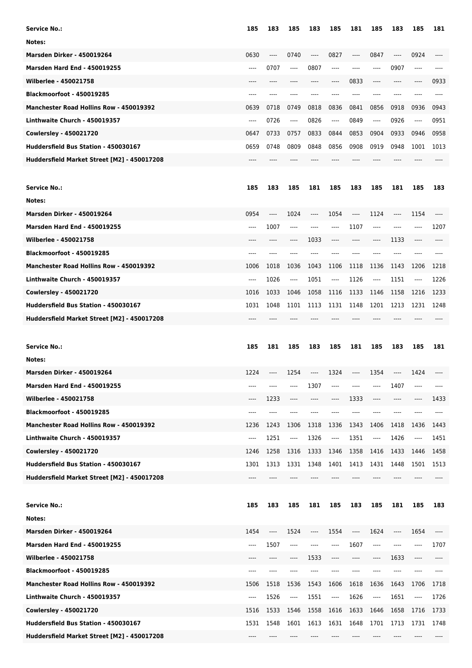| Service No.:                                                                        | 185      | 183   | 185  | 183   | 185      | 181     | 185                           | 183                                                  | 185  | 181  |
|-------------------------------------------------------------------------------------|----------|-------|------|-------|----------|---------|-------------------------------|------------------------------------------------------|------|------|
| Notes:                                                                              |          |       |      |       |          |         |                               |                                                      |      |      |
| <b>Marsden Dirker - 450019264</b>                                                   | 0630     | $---$ | 0740 | $---$ | 0827     | ----    | 0847                          | $\hspace{0.05cm}\rule{0.7pt}{0.1ex}\hspace{0.025cm}$ | 0924 | ---- |
| <b>Marsden Hard End - 450019255</b>                                                 | $-----$  | 0707  | ---- | 0807  | $---$    | ----    | ----                          | 0907                                                 | ---- |      |
| <b>Wilberlee - 450021758</b>                                                        |          | ----  |      | ----  |          | 0833    | ----                          | $---$                                                | ---- | 0933 |
| Blackmoorfoot - 450019285                                                           | ----     | ----  |      |       |          | ----    | ----                          | ----                                                 | ---- |      |
| <b>Manchester Road Hollins Row - 450019392</b>                                      | 0639     | 0718  | 0749 | 0818  | 0836     | 0841    | 0856                          | 0918                                                 | 0936 | 0943 |
| Linthwaite Church - 450019357                                                       |          |       |      |       |          |         |                               |                                                      |      |      |
|                                                                                     | $-----$  | 0726  | ---- | 0826  | $-----$  | 0849    | ----                          | 0926                                                 | ---- | 0951 |
| <b>Cowlersley - 450021720</b>                                                       | 0647     | 0733  | 0757 | 0833  | 0844     | 0853    | 0904                          | 0933                                                 | 0946 | 0958 |
| Huddersfield Bus Station - 450030167                                                | 0659     | 0748  | 0809 | 0848  | 0856     | 0908    | 0919                          | 0948                                                 | 1001 | 1013 |
| Huddersfield Market Street [M2] - 450017208                                         |          |       |      |       |          |         |                               |                                                      |      |      |
|                                                                                     |          |       |      |       |          |         |                               |                                                      |      |      |
| <b>Service No.:</b>                                                                 | 185      | 183   | 185  | 181   | 185      | 183     | 185                           | 181                                                  | 185  | 183  |
| Notes:                                                                              |          |       |      |       |          |         |                               |                                                      |      |      |
| Marsden Dirker - 450019264                                                          | 0954     | $---$ | 1024 | ----  | 1054     | ----    | 1124                          | ----                                                 | 1154 |      |
| <b>Marsden Hard End - 450019255</b>                                                 | $---$    | 1007  | ---- | $---$ | $---$    | 1107    | $---$                         | $---$                                                | ---- | 1207 |
| <b>Wilberlee - 450021758</b>                                                        | $---$    | ----  | ---- | 1033  | $---$    | $-----$ | $\hspace{1.5cm} \textbf{---}$ | 1133                                                 | ---- | ---- |
| <b>Blackmoorfoot - 450019285</b>                                                    | $---$    | ----  | ---- | ----  |          | ----    | ----                          | $---$                                                | ---- | ---- |
| Manchester Road Hollins Row - 450019392                                             | 1006     | 1018  | 1036 | 1043  | 1106     | 1118    | 1136                          | 1143                                                 | 1206 | 1218 |
| Linthwaite Church - 450019357                                                       | $---$    | 1026  | ---- | 1051  | ----     | 1126    | ----                          | 1151                                                 | ---- | 1226 |
| <b>Cowlersley - 450021720</b>                                                       | 1016     | 1033  | 1046 | 1058  | 1116     | 1133    | 1146                          | 1158                                                 | 1216 | 1233 |
| Huddersfield Bus Station - 450030167                                                | 1031     | 1048  | 1101 | 1113  | 1131     | 1148    | 1201                          | 1213                                                 | 1231 | 1248 |
| Huddersfield Market Street [M2] - 450017208                                         | $---$    |       |      |       |          |         |                               |                                                      |      |      |
|                                                                                     |          |       |      |       |          |         |                               |                                                      |      |      |
|                                                                                     |          |       |      |       |          |         |                               |                                                      |      |      |
| Service No.:                                                                        | 185      | 181   | 185  | 183   | 185      | 181     | 185                           | 183                                                  | 185  | 181  |
| Notes:                                                                              |          |       |      |       |          |         |                               |                                                      |      |      |
| <b>Marsden Dirker - 450019264</b>                                                   | 1224     | $---$ | 1254 | ----  | 1324     | $-----$ | 1354                          | ----                                                 | 1424 |      |
| <b>Marsden Hard End - 450019255</b>                                                 |          |       |      | 1307  |          |         |                               | 1407                                                 |      |      |
| Wilberlee - 450021758                                                               | ----     | 1233  | ---- | ----  |          | 1333    | ----                          | $-----$                                              |      | 1433 |
| <b>Blackmoorfoot - 450019285</b>                                                    | $---$    |       |      |       |          |         |                               | ----                                                 |      |      |
| Manchester Road Hollins Row - 450019392                                             | 1236     | 1243  | 1306 | 1318  | 1336     | 1343    | 1406                          | 1418                                                 | 1436 | 1443 |
| Linthwaite Church - 450019357                                                       | $\cdots$ | 1251  | ---- | 1326  | $---$    | 1351    | ----                          | 1426                                                 | ---- | 1451 |
| <b>Cowlersley - 450021720</b>                                                       | 1246     | 1258  | 1316 | 1333  | 1346     | 1358    | 1416                          | 1433                                                 | 1446 | 1458 |
| Huddersfield Bus Station - 450030167                                                | 1301     | 1313  | 1331 | 1348  | 1401     | 1413    | 1431                          | 1448                                                 | 1501 | 1513 |
| Huddersfield Market Street [M2] - 450017208                                         | ----     |       |      |       |          |         |                               |                                                      |      |      |
|                                                                                     |          |       |      |       |          |         |                               |                                                      |      |      |
|                                                                                     |          |       |      |       |          |         |                               |                                                      |      |      |
| <b>Service No.:</b>                                                                 | 185      | 183   | 185  | 181   | 185      | 183     | 185                           | 181                                                  | 185  | 183  |
| Notes:                                                                              |          |       |      |       |          |         |                               |                                                      |      |      |
| <b>Marsden Dirker - 450019264</b>                                                   | 1454     | ----  | 1524 | ----  | 1554     | ----    | 1624                          | ----                                                 | 1654 |      |
| <b>Marsden Hard End - 450019255</b>                                                 | ----     | 1507  | ---- | ----  | $\cdots$ | 1607    | $\hspace{1.5cm} \textbf{---}$ | $---$                                                | ---- | 1707 |
| Wilberlee - 450021758                                                               | ----     | ----  | ---- | 1533  | $---$    | ----    | ----                          | 1633                                                 | ---- | ---- |
| Blackmoorfoot - 450019285                                                           | $-- -$   | ----  | ---- | ----  |          |         | ----                          |                                                      |      |      |
| Manchester Road Hollins Row - 450019392                                             | 1506     | 1518  | 1536 | 1543  | 1606     | 1618    | 1636                          | 1643                                                 | 1706 | 1718 |
| Linthwaite Church - 450019357                                                       | ----     | 1526  | ---- | 1551  | ----     | 1626    | ----                          | 1651                                                 | ---- | 1726 |
| <b>Cowlersley - 450021720</b>                                                       | 1516     | 1533  | 1546 | 1558  | 1616     | 1633    | 1646                          | 1658                                                 | 1716 | 1733 |
| Huddersfield Bus Station - 450030167<br>Huddersfield Market Street [M2] - 450017208 | 1531     | 1548  | 1601 | 1613  | 1631     | 1648    | 1701                          | 1713                                                 | 1731 | 1748 |